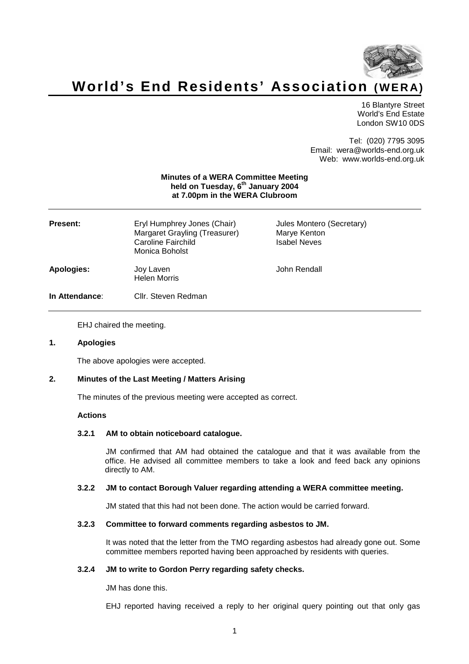

# **World's End Residents' Association (WE R A)**

16 Blantyre Street World's End Estate London SW10 0DS

Tel: (020) 7795 3095 Email: wera@worlds-end.org.uk Web: www.worlds-end.org.uk

## **Minutes of a WERA Committee Meeting held on Tuesday, 6 th January 2004 at 7.00pm in the WERA Clubroom**

| <b>Present:</b> | Eryl Humphrey Jones (Chair)<br>Margaret Grayling (Treasurer)<br>Caroline Fairchild<br>Monica Boholst | Jules Montero (Secretary)<br>Marye Kenton<br><b>Isabel Neves</b> |
|-----------------|------------------------------------------------------------------------------------------------------|------------------------------------------------------------------|
| Apologies:      | Joy Laven<br><b>Helen Morris</b>                                                                     | John Rendall                                                     |
| In Attendance:  | Cllr. Steven Redman                                                                                  |                                                                  |

EHJ chaired the meeting.

#### **1. Apologies**

The above apologies were accepted.

# **2. Minutes of the Last Meeting / Matters Arising**

The minutes of the previous meeting were accepted as correct.

## **Actions**

#### **3.2.1 AM to obtain noticeboard catalogue.**

JM confirmed that AM had obtained the catalogue and that it was available from the office. He advised all committee members to take a look and feed back any opinions directly to AM.

# **3.2.2 JM to contact Borough Valuer regarding attending a WERA committee meeting.**

JM stated that this had not been done. The action would be carried forward.

#### **3.2.3 Committee to forward comments regarding asbestos to JM.**

It was noted that the letter from the TMO regarding asbestos had already gone out. Some committee members reported having been approached by residents with queries.

#### **3.2.4 JM to write to Gordon Perry regarding safety checks.**

JM has done this.

EHJ reported having received a reply to her original query pointing out that only gas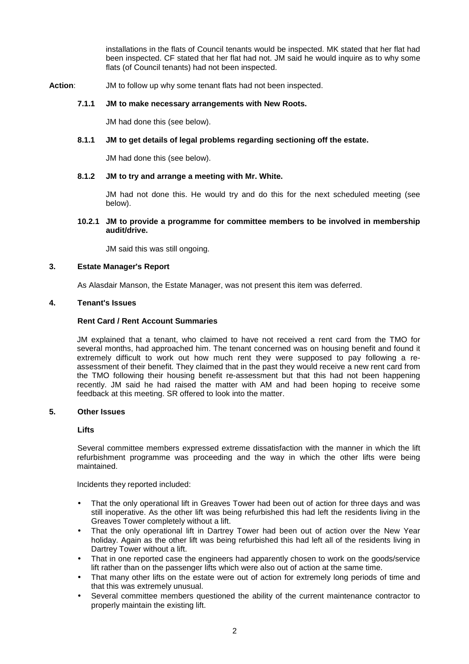installations in the flats of Council tenants would be inspected. MK stated that her flat had been inspected. CF stated that her flat had not. JM said he would inquire as to why some flats (of Council tenants) had not been inspected.

**Action**: JM to follow up why some tenant flats had not been inspected.

# **7.1.1 JM to make necessary arrangements with New Roots.**

JM had done this (see below).

# **8.1.1 JM to get details of legal problems regarding sectioning off the estate.**

JM had done this (see below).

# **8.1.2 JM to try and arrange a meeting with Mr. White.**

JM had not done this. He would try and do this for the next scheduled meeting (see below).

# **10.2.1 JM to provide a programme for committee members to be involved in membership audit/drive.**

JM said this was still ongoing.

# **3. Estate Manager's Report**

As Alasdair Manson, the Estate Manager, was not present this item was deferred.

#### **4. Tenant's Issues**

# **Rent Card / Rent Account Summaries**

JM explained that a tenant, who claimed to have not received a rent card from the TMO for several months, had approached him. The tenant concerned was on housing benefit and found it extremely difficult to work out how much rent they were supposed to pay following a reassessment of their benefit. They claimed that in the past they would receive a new rent card from the TMO following their housing benefit re-assessment but that this had not been happening recently. JM said he had raised the matter with AM and had been hoping to receive some feedback at this meeting. SR offered to look into the matter.

## **5. Other Issues**

# **Lifts**

Several committee members expressed extreme dissatisfaction with the manner in which the lift refurbishment programme was proceeding and the way in which the other lifts were being maintained.

Incidents they reported included:

- That the only operational lift in Greaves Tower had been out of action for three days and was still inoperative. As the other lift was being refurbished this had left the residents living in the Greaves Tower completely without a lift.
- That the only operational lift in Dartrey Tower had been out of action over the New Year holiday. Again as the other lift was being refurbished this had left all of the residents living in Dartrey Tower without a lift.
- That in one reported case the engineers had apparently chosen to work on the goods/service lift rather than on the passenger lifts which were also out of action at the same time.
- That many other lifts on the estate were out of action for extremely long periods of time and that this was extremely unusual.
- Several committee members questioned the ability of the current maintenance contractor to properly maintain the existing lift.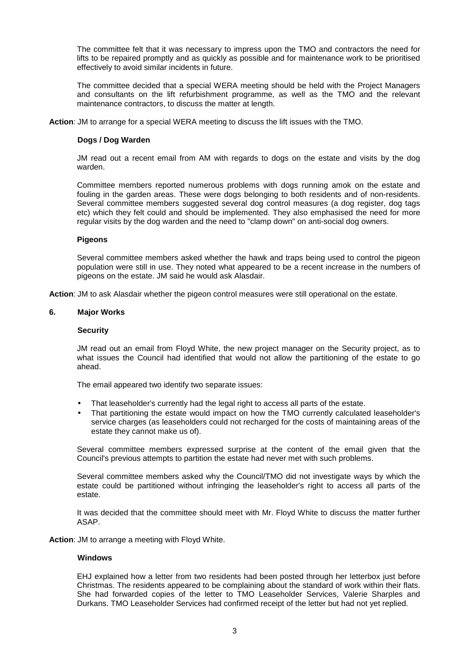The committee felt that it was necessary to impress upon the TMO and contractors the need for lifts to be repaired promptly and as quickly as possible and for maintenance work to be prioritised effectively to avoid similar incidents in future.

The committee decided that a special WERA meeting should be held with the Project Managers and consultants on the lift refurbishment programme, as well as the TMO and the relevant maintenance contractors, to discuss the matter at length.

**Action**: JM to arrange for a special WERA meeting to discuss the lift issues with the TMO.

# **Dogs / Dog Warden**

JM read out a recent email from AM with regards to dogs on the estate and visits by the dog warden.

Committee members reported numerous problems with dogs running amok on the estate and fouling in the garden areas. These were dogs belonging to both residents and of non-residents. Several committee members suggested several dog control measures (a dog register, dog tags etc) which they felt could and should be implemented. They also emphasised the need for more regular visits by the dog warden and the need to "clamp down" on anti-social dog owners.

# **Pigeons**

Several committee members asked whether the hawk and traps being used to control the pigeon population were still in use. They noted what appeared to be a recent increase in the numbers of pigeons on the estate. JM said he would ask Alasdair.

**Action**: JM to ask Alasdair whether the pigeon control measures were still operational on the estate.

# **6. Major Works**

## **Security**

JM read out an email from Floyd White, the new project manager on the Security project, as to what issues the Council had identified that would not allow the partitioning of the estate to go ahead.

The email appeared two identify two separate issues:

- That leaseholder's currently had the legal right to access all parts of the estate.
- That partitioning the estate would impact on how the TMO currently calculated leaseholder's service charges (as leaseholders could not recharged for the costs of maintaining areas of the estate they cannot make us of).

Several committee members expressed surprise at the content of the email given that the Council's previous attempts to partition the estate had never met with such problems.

Several committee members asked why the Council/TMO did not investigate ways by which the estate could be partitioned without infringing the leaseholder's right to access all parts of the estate.

It was decided that the committee should meet with Mr. Floyd White to discuss the matter further ASAP.

**Action**: JM to arrange a meeting with Floyd White.

#### **Windows**

EHJ explained how a letter from two residents had been posted through her letterbox just before Christmas. The residents appeared to be complaining about the standard of work within their flats. She had forwarded copies of the letter to TMO Leaseholder Services, Valerie Sharples and Durkans. TMO Leaseholder Services had confirmed receipt of the letter but had not yet replied.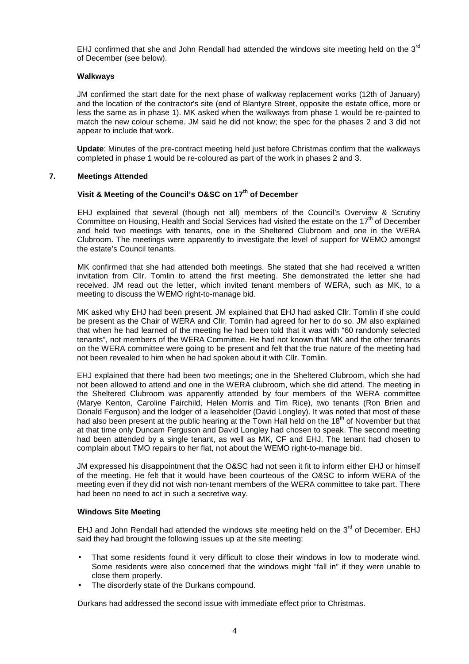EHJ confirmed that she and John Rendall had attended the windows site meeting held on the  $3^{rd}$ of December (see below).

# **Walkways**

JM confirmed the start date for the next phase of walkway replacement works (12th of January) and the location of the contractor's site (end of Blantyre Street, opposite the estate office, more or less the same as in phase 1). MK asked when the walkways from phase 1 would be re-painted to match the new colour scheme. JM said he did not know; the spec for the phases 2 and 3 did not appear to include that work.

**Update**: Minutes of the pre-contract meeting held just before Christmas confirm that the walkways completed in phase 1 would be re-coloured as part of the work in phases 2 and 3.

# **7. Meetings Attended**

# **Visit & Meeting of the Council's O&SC on 17 th of December**

EHJ explained that several (though not all) members of the Council's Overview & Scrutiny Committee on Housing, Health and Social Services had visited the estate on the 17<sup>th</sup> of December and held two meetings with tenants, one in the Sheltered Clubroom and one in the WERA Clubroom. The meetings were apparently to investigate the level of support for WEMO amongst the estate's Council tenants.

MK confirmed that she had attended both meetings. She stated that she had received a written invitation from Cllr. Tomlin to attend the first meeting. She demonstrated the letter she had received. JM read out the letter, which invited tenant members of WERA, such as MK, to a meeting to discuss the WEMO right-to-manage bid.

MK asked why EHJ had been present. JM explained that EHJ had asked Cllr. Tomlin if she could be present as the Chair of WERA and Cllr. Tomlin had agreed for her to do so. JM also explained that when he had learned of the meeting he had been told that it was with "60 randomly selected tenants", not members of the WERA Committee. He had not known that MK and the other tenants on the WERA committee were going to be present and felt that the true nature of the meeting had not been revealed to him when he had spoken about it with Cllr. Tomlin.

EHJ explained that there had been two meetings; one in the Sheltered Clubroom, which she had not been allowed to attend and one in the WERA clubroom, which she did attend. The meeting in the Sheltered Clubroom was apparently attended by four members of the WERA committee (Marye Kenton, Caroline Fairchild, Helen Morris and Tim Rice), two tenants (Ron Brien and Donald Ferguson) and the lodger of a leaseholder (David Longley). It was noted that most of these had also been present at the public hearing at the Town Hall held on the 18<sup>th</sup> of November but that at that time only Duncam Ferguson and David Longley had chosen to speak. The second meeting had been attended by a single tenant, as well as MK, CF and EHJ. The tenant had chosen to complain about TMO repairs to her flat, not about the WEMO right-to-manage bid.

JM expressed his disappointment that the O&SC had not seen it fit to inform either EHJ or himself of the meeting. He felt that it would have been courteous of the O&SC to inform WERA of the meeting even if they did not wish non-tenant members of the WERA committee to take part. There had been no need to act in such a secretive way.

#### **Windows Site Meeting**

EHJ and John Rendall had attended the windows site meeting held on the  $3<sup>rd</sup>$  of December. EHJ said they had brought the following issues up at the site meeting:

- That some residents found it very difficult to close their windows in low to moderate wind. Some residents were also concerned that the windows might "fall in" if they were unable to close them properly.
- The disorderly state of the Durkans compound.

Durkans had addressed the second issue with immediate effect prior to Christmas.